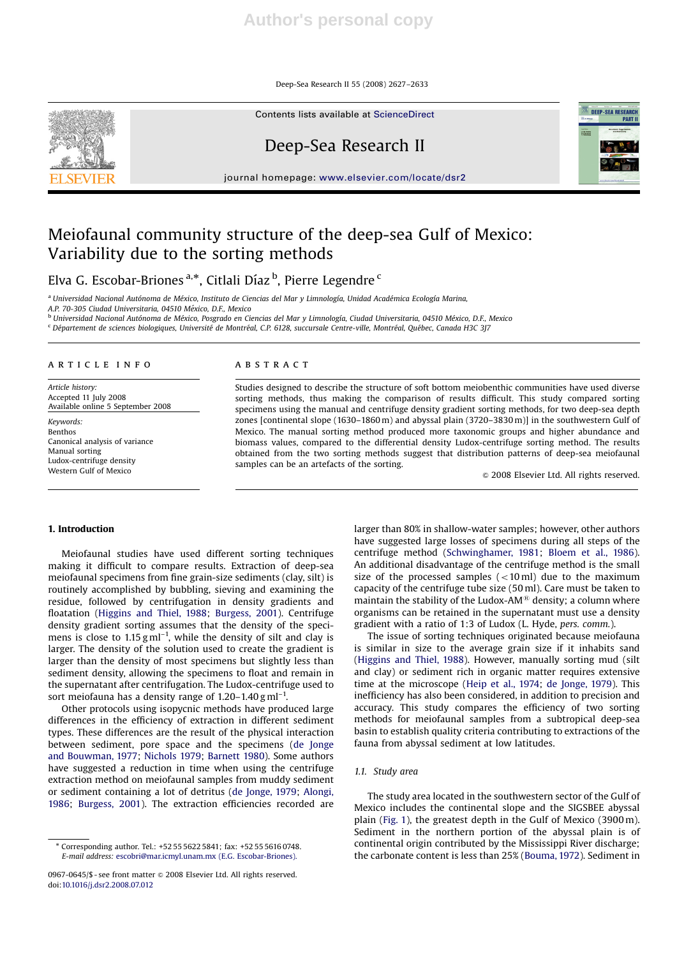Deep-Sea Research II 55 (2008) 2627–2633

Contents lists available at ScienceDirect



Deep-Sea Research II

journal homepage: www.elsevier.com/locate/dsr2



# Meiofaunal community structure of the deep-sea Gulf of Mexico: Variability due to the sorting methods

Elva G. Escobar-Briones <sup>a,</sup>\*, Citlali Díaz <sup>b</sup>, Pierre Legendre <sup>c</sup>

<sup>a</sup> Universidad Nacional Autónoma de México, Instituto de Ciencias del Mar y Limnología, Unidad Académica Ecología Marina, A.P. 70-305 Ciudad Universitaria, 04510 México, D.F., Mexico

<sup>b</sup> Universidad Nacional Autónoma de México, Posgrado en Ciencias del Mar y Limnología, Ciudad Universitaria, 04510 México, D.F., Mexico

<sup>c</sup> Département de sciences biologiques, Université de Montréal, C.P. 6128, succursale Centre-ville, Montréal, Québec, Canada H3C 3J7

### article info

Article history: Accepted 11 July 2008 Available online 5 September 2008

Keywords: Benthos Canonical analysis of variance Manual sorting Ludox-centrifuge density Western Gulf of Mexico

### **ABSTRACT**

Studies designed to describe the structure of soft bottom meiobenthic communities have used diverse sorting methods, thus making the comparison of results difficult. This study compared sorting specimens using the manual and centrifuge density gradient sorting methods, for two deep-sea depth zones [continental slope (1630–1860 m) and abyssal plain (3720–3830 m)] in the southwestern Gulf of Mexico. The manual sorting method produced more taxonomic groups and higher abundance and biomass values, compared to the differential density Ludox-centrifuge sorting method. The results obtained from the two sorting methods suggest that distribution patterns of deep-sea meiofaunal samples can be an artefacts of the sorting.

 $©$  2008 Elsevier Ltd. All rights reserved.

### 1. Introduction

Meiofaunal studies have used different sorting techniques making it difficult to compare results. Extraction of deep-sea meiofaunal specimens from fine grain-size sediments (clay, silt) is routinely accomplished by bubbling, sieving and examining the residue, followed by centrifugation in density gradients and floatation (Higgins and Thiel, 1988; Burgess, 2001). Centrifuge density gradient sorting assumes that the density of the specimens is close to  $1.15 \text{ g m}^{-1}$ , while the density of silt and clay is larger. The density of the solution used to create the gradient is larger than the density of most specimens but slightly less than sediment density, allowing the specimens to float and remain in the supernatant after centrifugation. The Ludox-centrifuge used to sort meiofauna has a density range of  $1.20-1.40$  g ml<sup>-1</sup>.

Other protocols using isopycnic methods have produced large differences in the efficiency of extraction in different sediment types. These differences are the result of the physical interaction between sediment, pore space and the specimens (de Jonge and Bouwman, 1977; Nichols 1979; Barnett 1980). Some authors have suggested a reduction in time when using the centrifuge extraction method on meiofaunal samples from muddy sediment or sediment containing a lot of detritus (de Jonge, 1979; Alongi, 1986; Burgess, 2001). The extraction efficiencies recorded are

larger than 80% in shallow-water samples; however, other authors have suggested large losses of specimens during all steps of the centrifuge method (Schwinghamer, 1981; Bloem et al., 1986). An additional disadvantage of the centrifuge method is the small size of the processed samples  $(<10 \text{ ml})$  due to the maximum capacity of the centrifuge tube size (50 ml). Care must be taken to maintain the stability of the Ludox-AM $^{\circledR}$  density; a column where organisms can be retained in the supernatant must use a density gradient with a ratio of 1:3 of Ludox (L. Hyde, pers. comm.).

The issue of sorting techniques originated because meiofauna is similar in size to the average grain size if it inhabits sand (Higgins and Thiel, 1988). However, manually sorting mud (silt and clay) or sediment rich in organic matter requires extensive time at the microscope (Heip et al., 1974; de Jonge, 1979). This inefficiency has also been considered, in addition to precision and accuracy. This study compares the efficiency of two sorting methods for meiofaunal samples from a subtropical deep-sea basin to establish quality criteria contributing to extractions of the fauna from abyssal sediment at low latitudes.

#### 1.1. Study area

The study area located in the southwestern sector of the Gulf of Mexico includes the continental slope and the SIGSBEE abyssal plain (Fig. 1), the greatest depth in the Gulf of Mexico (3900 m). Sediment in the northern portion of the abyssal plain is of continental origin contributed by the Mississippi River discharge; the carbonate content is less than 25% (Bouma, 1972). Sediment in

<sup>-</sup> Corresponding author. Tel.: +52 55 5622 5841; fax: +52 55 5616 0748. E-mail address: escobri@mar.icmyl.unam.mx (E.G. Escobar-Briones).

<sup>0967-0645/\$ -</sup> see front matter & 2008 Elsevier Ltd. All rights reserved. doi:10.1016/j.dsr2.2008.07.012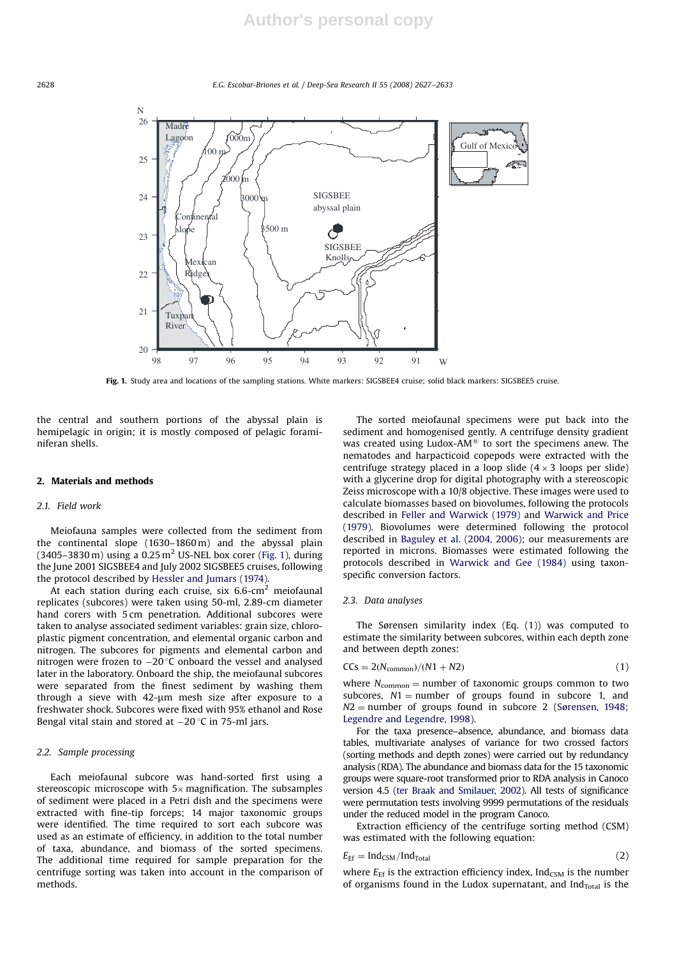2628 E.G. Escobar-Briones et al. / Deep-Sea Research II 55 (2008) 2627–2633



Fig. 1. Study area and locations of the sampling stations. White markers: SIGSBEE4 cruise; solid black markers: SIGSBEE5 cruise.

the central and southern portions of the abyssal plain is hemipelagic in origin; it is mostly composed of pelagic foraminiferan shells.

#### 2. Materials and methods

#### 2.1. Field work

Meiofauna samples were collected from the sediment from the continental slope (1630–1860 m) and the abyssal plain  $(3405-3830 \text{ m})$  using a 0.25 m<sup>2</sup> US-NEL box corer (Fig. 1), during the June 2001 SIGSBEE4 and July 2002 SIGSBEE5 cruises, following the protocol described by Hessler and Jumars (1974).

At each station during each cruise, six 6.6-cm<sup>2</sup> meiofaunal replicates (subcores) were taken using 50-ml, 2.89-cm diameter hand corers with 5 cm penetration. Additional subcores were taken to analyse associated sediment variables: grain size, chloroplastic pigment concentration, and elemental organic carbon and nitrogen. The subcores for pigments and elemental carbon and nitrogen were frozen to  $-20$  °C onboard the vessel and analysed later in the laboratory. Onboard the ship, the meiofaunal subcores were separated from the finest sediment by washing them through a sieve with  $42-\mu m$  mesh size after exposure to a freshwater shock. Subcores were fixed with 95% ethanol and Rose Bengal vital stain and stored at  $-20$  °C in 75-ml jars.

### 2.2. Sample processing

Each meiofaunal subcore was hand-sorted first using a stereoscopic microscope with  $5 \times$  magnification. The subsamples of sediment were placed in a Petri dish and the specimens were extracted with fine-tip forceps; 14 major taxonomic groups were identified. The time required to sort each subcore was used as an estimate of efficiency, in addition to the total number of taxa, abundance, and biomass of the sorted specimens. The additional time required for sample preparation for the centrifuge sorting was taken into account in the comparison of methods.

The sorted meiofaunal specimens were put back into the sediment and homogenised gently. A centrifuge density gradient was created using Ludox-AM $<sup>®</sup>$  to sort the specimens anew. The</sup> nematodes and harpacticoid copepods were extracted with the centrifuge strategy placed in a loop slide  $(4 \times 3)$  loops per slide) with a glycerine drop for digital photography with a stereoscopic Zeiss microscope with a 10/8 objective. These images were used to calculate biomasses based on biovolumes, following the protocols described in Feller and Warwick (1979) and Warwick and Price (1979). Biovolumes were determined following the protocol described in Baguley et al. (2004, 2006); our measurements are reported in microns. Biomasses were estimated following the protocols described in Warwick and Gee (1984) using taxonspecific conversion factors.

#### 2.3. Data analyses

The Sørensen similarity index (Eq. (1)) was computed to estimate the similarity between subcores, within each depth zone and between depth zones:

$$
CCs = 2(N_{common})/(N1 + N2)
$$
\n(1)

where  $N_{common} =$  number of taxonomic groups common to two subcores,  $N1$  = number of groups found in subcore 1, and  $N2$  = number of groups found in subcore 2 (Sørensen, 1948; Legendre and Legendre, 1998).

For the taxa presence–absence, abundance, and biomass data tables, multivariate analyses of variance for two crossed factors (sorting methods and depth zones) were carried out by redundancy analysis (RDA). The abundance and biomass data for the 15 taxonomic groups were square-root transformed prior to RDA analysis in Canoco version 4.5 (ter Braak and Smilauer, 2002). All tests of significance were permutation tests involving 9999 permutations of the residuals under the reduced model in the program Canoco.

Extraction efficiency of the centrifuge sorting method (CSM) was estimated with the following equation:

$$
E_{\rm Ef} = \mathrm{Ind}_{\rm CSM} / \mathrm{Ind}_{\rm Total} \tag{2}
$$

where  $E_{\text{Ef}}$  is the extraction efficiency index, Ind<sub>CSM</sub> is the number of organisms found in the Ludox supernatant, and Ind $_{\text{Total}}$  is the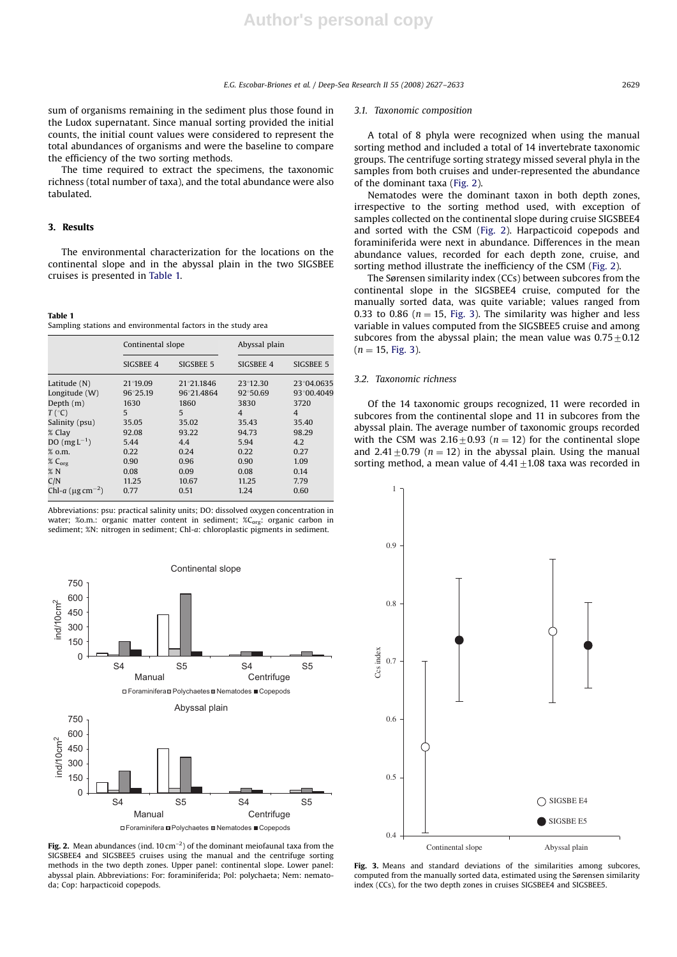sum of organisms remaining in the sediment plus those found in the Ludox supernatant. Since manual sorting provided the initial counts, the initial count values were considered to represent the total abundances of organisms and were the baseline to compare the efficiency of the two sorting methods.

The time required to extract the specimens, the taxonomic richness (total number of taxa), and the total abundance were also tabulated.

#### 3. Results

The environmental characterization for the locations on the continental slope and in the abyssal plain in the two SIGSBEE cruises is presented in Table 1.

#### Table 1 Sampling stations and environmental factors in the study area

|                                   | Continental slope |            |                | Abyssal plain  |  |  |
|-----------------------------------|-------------------|------------|----------------|----------------|--|--|
|                                   | SIGSBEE 4         | SIGSBEE 5  | SIGSBEE 4      | SIGSBEE 5      |  |  |
| Latitude (N)                      | 21°19.09          | 21°21.1846 | 23°12.30       | 23°04.0635     |  |  |
| Longitude (W)                     | 96°25.19          | 96°21.4864 | 92°50.69       | 93°00.4049     |  |  |
| Depth $(m)$                       | 1630              | 1860       | 3830           | 3720           |  |  |
| $T({}^{\circ}C)$                  | 5                 | 5          | $\overline{4}$ | $\overline{4}$ |  |  |
| Salinity (psu)                    | 35.05             | 35.02      | 35.43          | 35.40          |  |  |
| % Clay                            | 92.08             | 93.22      | 94.73          | 98.29          |  |  |
| DO $(mgL^{-1})$                   | 5.44              | 4.4        | 5.94           | 4.2            |  |  |
| % o.m.                            | 0.22              | 0.24       | 0.22           | 0.27           |  |  |
| $\%$ C <sub>org</sub>             | 0.90              | 0.96       | 0.90           | 1.09           |  |  |
| %N                                | 0.08              | 0.09       | 0.08           | 0.14           |  |  |
| C/N                               | 11.25             | 10.67      | 11.25          | 7.79           |  |  |
| Chl-a $(\mu$ g cm <sup>-2</sup> ) | 0.77              | 0.51       | 1.24           | 0.60           |  |  |

Abbreviations: psu: practical salinity units; DO: dissolved oxygen concentration in water; %o.m.: organic matter content in sediment; %C<sub>org</sub>: organic carbon in sediment; %N: nitrogen in sediment; Chl-a: chloroplastic pigments in sediment.



Fig. 2. Mean abundances (ind.  $10 \text{ cm}^{-2}$ ) of the dominant meiofaunal taxa from the SIGSBEE4 and SIGSBEE5 cruises using the manual and the centrifuge sorting methods in the two depth zones. Upper panel: continental slope. Lower panel: abyssal plain. Abbreviations: For: foraminiferida; Pol: polychaeta; Nem: nematoda; Cop: harpacticoid copepods.

#### 3.1. Taxonomic composition

A total of 8 phyla were recognized when using the manual sorting method and included a total of 14 invertebrate taxonomic groups. The centrifuge sorting strategy missed several phyla in the samples from both cruises and under-represented the abundance of the dominant taxa (Fig. 2).

Nematodes were the dominant taxon in both depth zones, irrespective to the sorting method used, with exception of samples collected on the continental slope during cruise SIGSBEE4 and sorted with the CSM (Fig. 2). Harpacticoid copepods and foraminiferida were next in abundance. Differences in the mean abundance values, recorded for each depth zone, cruise, and sorting method illustrate the inefficiency of the CSM (Fig. 2).

The Sørensen similarity index (CCs) between subcores from the continental slope in the SIGSBEE4 cruise, computed for the manually sorted data, was quite variable; values ranged from 0.33 to 0.86 ( $n = 15$ , Fig. 3). The similarity was higher and less variable in values computed from the SIGSBEE5 cruise and among subcores from the abyssal plain; the mean value was  $0.75\pm0.12$  $(n = 15, Fig. 3).$ 

### 3.2. Taxonomic richness

Of the 14 taxonomic groups recognized, 11 were recorded in subcores from the continental slope and 11 in subcores from the abyssal plain. The average number of taxonomic groups recorded with the CSM was  $2.16 \pm 0.93$  (n = 12) for the continental slope and 2.41 $\pm$ 0.79 (n = 12) in the abyssal plain. Using the manual sorting method, a mean value of  $4.41 \pm 1.08$  taxa was recorded in



Fig. 3. Means and standard deviations of the similarities among subcores, computed from the manually sorted data, estimated using the Sørensen similarity index (CCs), for the two depth zones in cruises SIGSBEE4 and SIGSBEE5.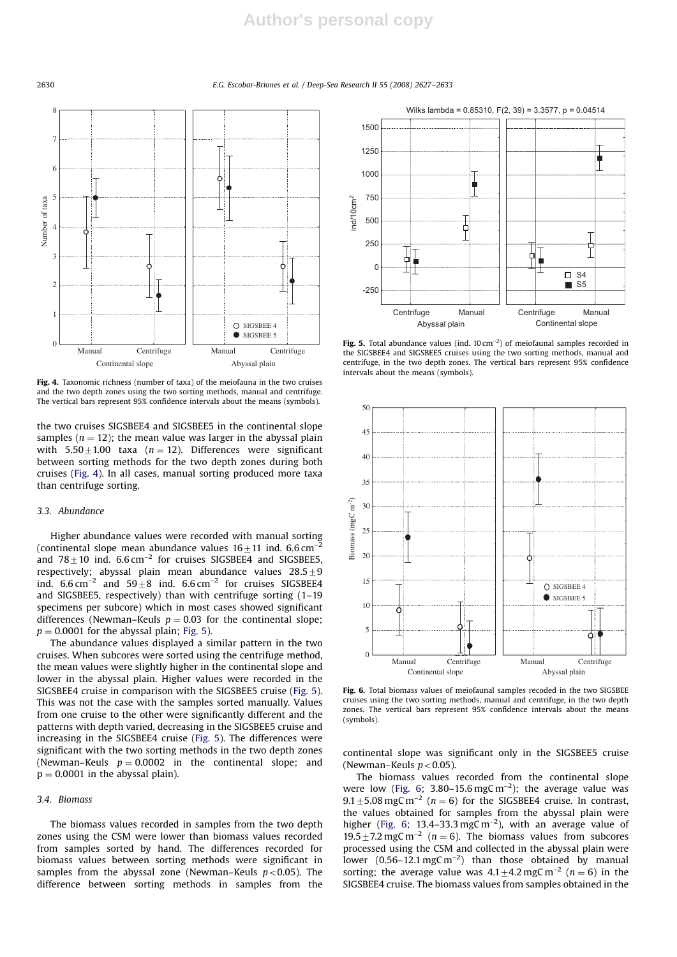2630 E.G. Escobar-Briones et al. / Deep-Sea Research II 55 (2008) 2627–2633



Fig. 4. Taxonomic richness (number of taxa) of the meiofauna in the two cruises and the two depth zones using the two sorting methods, manual and centrifuge. The vertical bars represent 95% confidence intervals about the means (symbols).

the two cruises SIGSBEE4 and SIGSBEE5 in the continental slope samples ( $n = 12$ ); the mean value was larger in the abyssal plain with  $5.50+1.00$  taxa ( $n = 12$ ). Differences were significant between sorting methods for the two depth zones during both cruises (Fig. 4). In all cases, manual sorting produced more taxa than centrifuge sorting.

#### 3.3. Abundance

Higher abundance values were recorded with manual sorting (continental slope mean abundance values  $16\pm11$  ind. 6.6 cm<sup>-</sup> and  $78 \pm 10$  ind. 6.6 cm<sup>-2</sup> for cruises SIGSBEE4 and SIGSBEE5, respectively; abyssal plain mean abundance values  $28.5 \pm 9$ ind.  $6.6 \text{ cm}^{-2}$  and  $59+8$  ind.  $6.6 \text{ cm}^{-2}$  for cruises SIGSBEE4 and SIGSBEE5, respectively) than with centrifuge sorting (1–19 specimens per subcore) which in most cases showed significant differences (Newman–Keuls  $p = 0.03$  for the continental slope;  $p = 0.0001$  for the abyssal plain; Fig. 5).

The abundance values displayed a similar pattern in the two cruises. When subcores were sorted using the centrifuge method, the mean values were slightly higher in the continental slope and lower in the abyssal plain. Higher values were recorded in the SIGSBEE4 cruise in comparison with the SIGSBEE5 cruise (Fig. 5). This was not the case with the samples sorted manually. Values from one cruise to the other were significantly different and the patterns with depth varied, decreasing in the SIGSBEE5 cruise and increasing in the SIGSBEE4 cruise (Fig. 5). The differences were significant with the two sorting methods in the two depth zones (Newman–Keuls  $p = 0.0002$  in the continental slope; and  $p = 0.0001$  in the abyssal plain).

#### 3.4. Biomass

The biomass values recorded in samples from the two depth zones using the CSM were lower than biomass values recorded from samples sorted by hand. The differences recorded for biomass values between sorting methods were significant in samples from the abyssal zone (Newman–Keuls  $p < 0.05$ ). The difference between sorting methods in samples from the



Fig. 5. Total abundance values (ind.  $10 \text{ cm}^{-2}$ ) of meiofaunal samples recorded in the SIGSBEE4 and SIGSBEE5 cruises using the two sorting methods, manual and centrifuge, in the two depth zones. The vertical bars represent 95% confidence intervals about the means (symbols).



Fig. 6. Total biomass values of meiofaunal samples recoded in the two SIGSBEE cruises using the two sorting methods, manual and centrifuge, in the two depth zones. The vertical bars represent 95% confidence intervals about the means (symbols).

continental slope was significant only in the SIGSBEE5 cruise (Newman–Keuls  $p < 0.05$ ).

The biomass values recorded from the continental slope were low (Fig. 6; 3.80-15.6 mgC m<sup>-2</sup>); the average value was  $9.1 \pm 5.08$  mgC m<sup>-2</sup> (n = 6) for the SIGSBEE4 cruise. In contrast, the values obtained for samples from the abyssal plain were higher (Fig. 6; 13.4–33.3 mgC m<sup>-2</sup>), with an average value of 19.5  $\pm$  7.2 mgC m<sup>-2</sup> (n = 6). The biomass values from subcores processed using the CSM and collected in the abyssal plain were lower  $(0.56-12.1 \text{ mgC m}^{-2})$  than those obtained by manual sorting; the average value was  $4.1 \pm 4.2$  mgC m<sup>-2</sup> (n = 6) in the SIGSBEE4 cruise. The biomass values from samples obtained in the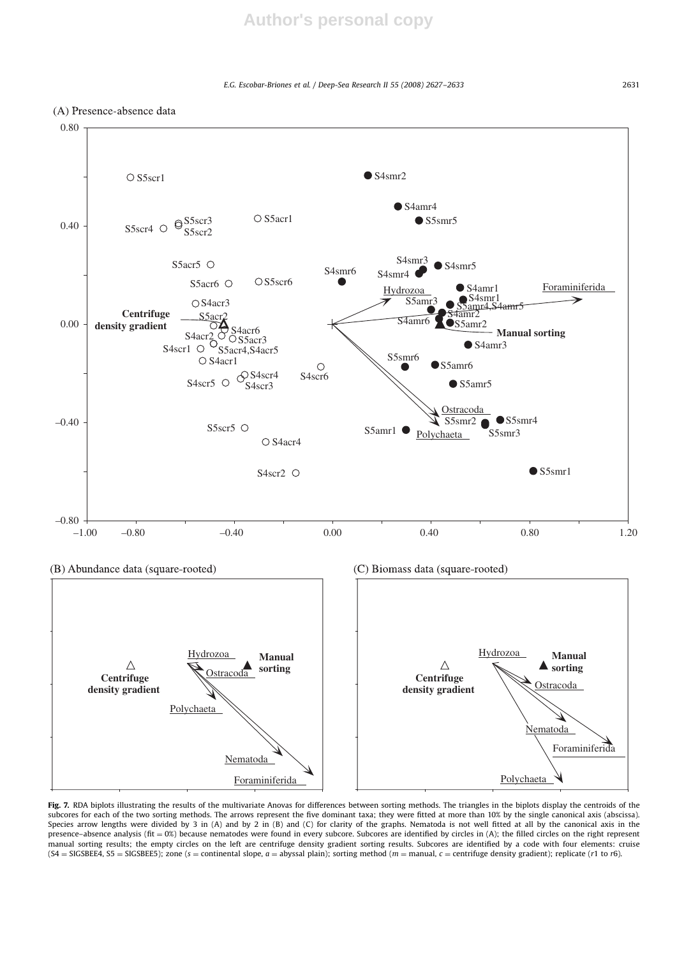E.G. Escobar-Briones et al. / Deep-Sea Research II 55 (2008) 2627–2633 2631





Fig. 7. RDA biplots illustrating the results of the multivariate Anovas for differences between sorting methods. The triangles in the biplots display the centroids of the subcores for each of the two sorting methods. The arrows represent the five dominant taxa; they were fitted at more than 10% by the single canonical axis (abscissa). Species arrow lengths were divided by 3 in (A) and by 2 in (B) and (C) for clarity of the graphs. Nematoda is not well fitted at all by the canonical axis in the presence-absence analysis (fit = 0%) because nematodes were found in every subcore. Subcores are identified by circles in (A); the filled circles on the right represent manual sorting results; the empty circles on the left are centrifuge density gradient sorting results. Subcores are identified by a code with four elements: cruise  $(S4 = SIGSBEEA, S5 = SIGSBEE5);$  zone  $(s =$  continental slope,  $a =$  abyssal plain); sorting method  $(m =$  manual,  $c =$  centrifuge density gradient); replicate (r1 to r6).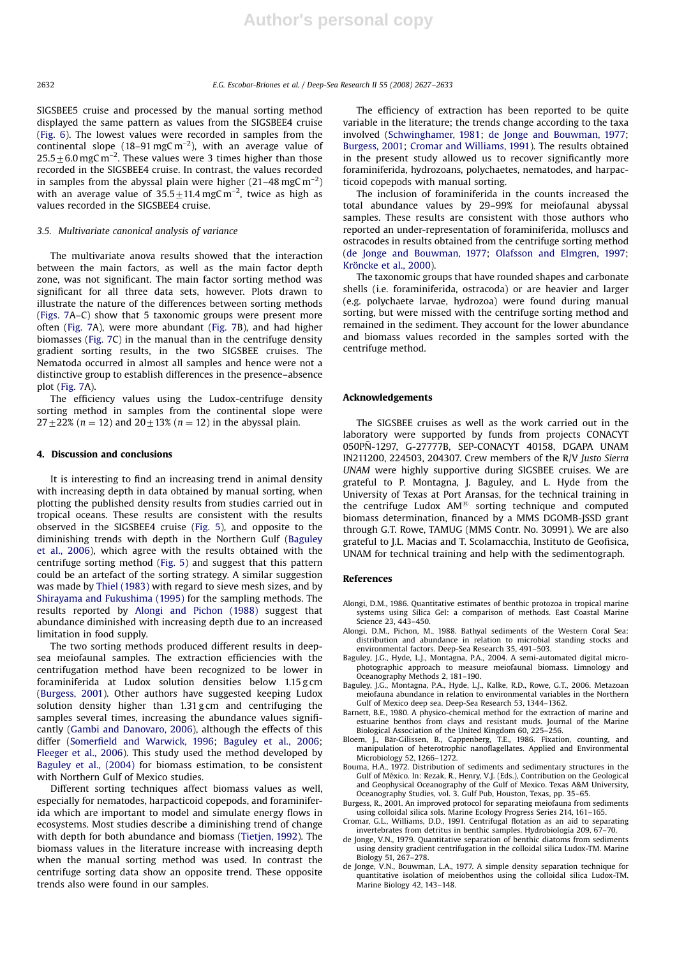SIGSBEE5 cruise and processed by the manual sorting method displayed the same pattern as values from the SIGSBEE4 cruise (Fig. 6). The lowest values were recorded in samples from the continental slope (18-91 mgC m<sup>-2</sup>), with an average value of  $25.5 \pm 6.0$  mgC m<sup>-2</sup>. These values were 3 times higher than those recorded in the SIGSBEE4 cruise. In contrast, the values recorded in samples from the abyssal plain were higher  $(21-48 \text{ mgC m}^{-2})$ with an average value of  $35.5 \pm 11.4$  mgC m<sup>-2</sup>, twice as high as values recorded in the SIGSBEE4 cruise.

#### 3.5. Multivariate canonical analysis of variance

The multivariate anova results showed that the interaction between the main factors, as well as the main factor depth zone, was not significant. The main factor sorting method was significant for all three data sets, however. Plots drawn to illustrate the nature of the differences between sorting methods (Figs. 7A–C) show that 5 taxonomic groups were present more often (Fig. 7A), were more abundant (Fig. 7B), and had higher biomasses (Fig. 7C) in the manual than in the centrifuge density gradient sorting results, in the two SIGSBEE cruises. The Nematoda occurred in almost all samples and hence were not a distinctive group to establish differences in the presence–absence plot (Fig. 7A).

The efficiency values using the Ludox-centrifuge density sorting method in samples from the continental slope were  $27 \pm 22\%$  (n = 12) and  $20 \pm 13\%$  (n = 12) in the abyssal plain.

#### 4. Discussion and conclusions

It is interesting to find an increasing trend in animal density with increasing depth in data obtained by manual sorting, when plotting the published density results from studies carried out in tropical oceans. These results are consistent with the results observed in the SIGSBEE4 cruise (Fig. 5), and opposite to the diminishing trends with depth in the Northern Gulf (Baguley et al., 2006), which agree with the results obtained with the centrifuge sorting method (Fig. 5) and suggest that this pattern could be an artefact of the sorting strategy. A similar suggestion was made by Thiel (1983) with regard to sieve mesh sizes, and by Shirayama and Fukushima (1995) for the sampling methods. The results reported by Alongi and Pichon (1988) suggest that abundance diminished with increasing depth due to an increased limitation in food supply.

The two sorting methods produced different results in deepsea meiofaunal samples. The extraction efficiencies with the centrifugation method have been recognized to be lower in foraminiferida at Ludox solution densities below 1.15 g cm (Burgess, 2001). Other authors have suggested keeping Ludox solution density higher than 1.31 g cm and centrifuging the samples several times, increasing the abundance values significantly (Gambi and Danovaro, 2006), although the effects of this differ (Somerfield and Warwick, 1996; Baguley et al., 2006; Fleeger et al., 2006). This study used the method developed by Baguley et al., (2004) for biomass estimation, to be consistent with Northern Gulf of Mexico studies.

Different sorting techniques affect biomass values as well, especially for nematodes, harpacticoid copepods, and foraminiferida which are important to model and simulate energy flows in ecosystems. Most studies describe a diminishing trend of change with depth for both abundance and biomass (Tietjen, 1992). The biomass values in the literature increase with increasing depth when the manual sorting method was used. In contrast the centrifuge sorting data show an opposite trend. These opposite trends also were found in our samples.

The efficiency of extraction has been reported to be quite variable in the literature; the trends change according to the taxa involved (Schwinghamer, 1981; de Jonge and Bouwman, 1977; Burgess, 2001; Cromar and Williams, 1991). The results obtained in the present study allowed us to recover significantly more foraminiferida, hydrozoans, polychaetes, nematodes, and harpacticoid copepods with manual sorting.

The inclusion of foraminiferida in the counts increased the total abundance values by 29–99% for meiofaunal abyssal samples. These results are consistent with those authors who reported an under-representation of foraminiferida, molluscs and ostracodes in results obtained from the centrifuge sorting method (de Jonge and Bouwman, 1977; Olafsson and Elmgren, 1997; Kröncke et al., 2000).

The taxonomic groups that have rounded shapes and carbonate shells (i.e. foraminiferida, ostracoda) or are heavier and larger (e.g. polychaete larvae, hydrozoa) were found during manual sorting, but were missed with the centrifuge sorting method and remained in the sediment. They account for the lower abundance and biomass values recorded in the samples sorted with the centrifuge method.

#### Acknowledgements

The SIGSBEE cruises as well as the work carried out in the laboratory were supported by funds from projects CONACYT 050PÑ-1297, G-27777B, SEP-CONACYT 40158, DGAPA UNAM IN211200, 224503, 204307. Crew members of the R/V Justo Sierra UNAM were highly supportive during SIGSBEE cruises. We are grateful to P. Montagna, J. Baguley, and L. Hyde from the University of Texas at Port Aransas, for the technical training in the centrifuge Ludox  $AM^{\circledR}$  sorting technique and computed biomass determination, financed by a MMS DGOMB-JSSD grant through G.T. Rowe, TAMUG (MMS Contr. No. 30991). We are also grateful to J.L. Macias and T. Scolamacchia, Instituto de Geofisica, UNAM for technical training and help with the sedimentograph.

#### References

- Alongi, D.M., 1986. Quantitative estimates of benthic protozoa in tropical marine systems using Silica Gel: a comparison of methods. East Coastal Marine Science 23, 443–450.
- Alongi, D.M., Pichon, M., 1988. Bathyal sediments of the Western Coral Sea: distribution and abundance in relation to microbial standing stocks and environmental factors. Deep-Sea Research 35, 491–503.
- Baguley, J.G., Hyde, L.J., Montagna, P.A., 2004. A semi-automated digital microphotographic approach to measure meiofaunal biomass. Limnology and Oceanography Methods 2, 181–190.
- Baguley, J.G., Montagna, P.A., Hyde, L.J., Kalke, R.D., Rowe, G.T., 2006. Metazoan meiofauna abundance in relation to environmental variables in the Northern Gulf of Mexico deep sea. Deep-Sea Research 53, 1344–1362.
- Barnett, B.E., 1980. A physico-chemical method for the extraction of marine and estuarine benthos from clays and resistant muds. Journal of the Marine Biological Association of the United Kingdom 60, 225–256.
- Bloem, J., Bär-Gilissen, B., Cappenberg, T.E., 1986. Fixation, counting, and manipulation of heterotrophic nanoflagellates. Applied and Environmental
- Microbiology 52, 1266–1272. Bouma, H.A., 1972. Distribution of sediments and sedimentary structures in the Gulf of México. In: Rezak, R., Henry, V.J. (Eds.), Contribution on the Geological and Geophysical Oceanography of the Gulf of Mexico. Texas A&M University, Oceanography Studies, vol. 3. Gulf Pub, Houston, Texas, pp. 35–65.
- Burgess, R., 2001. An improved protocol for separating meiofauna from sediments using colloidal silica sols. Marine Ecology Progress Series 214, 161–165.
- Cromar, G.L., Williams, D.D., 1991. Centrifugal flotation as an aid to separating invertebrates from detritus in benthic samples. Hydrobiología 209, 67–70.
- de Jonge, V.N., 1979. Quantitative separation of benthic diatoms from sediments using density gradient centrifugation in the colloidal silica Ludox-TM. Marine Biology 51, 267–278.
- de Jonge, V.N., Bouwman, L.A., 1977. A simple density separation technique for quantitative isolation of meiobenthos using the colloidal silica Ludox-TM. Marine Biology 42, 143–148.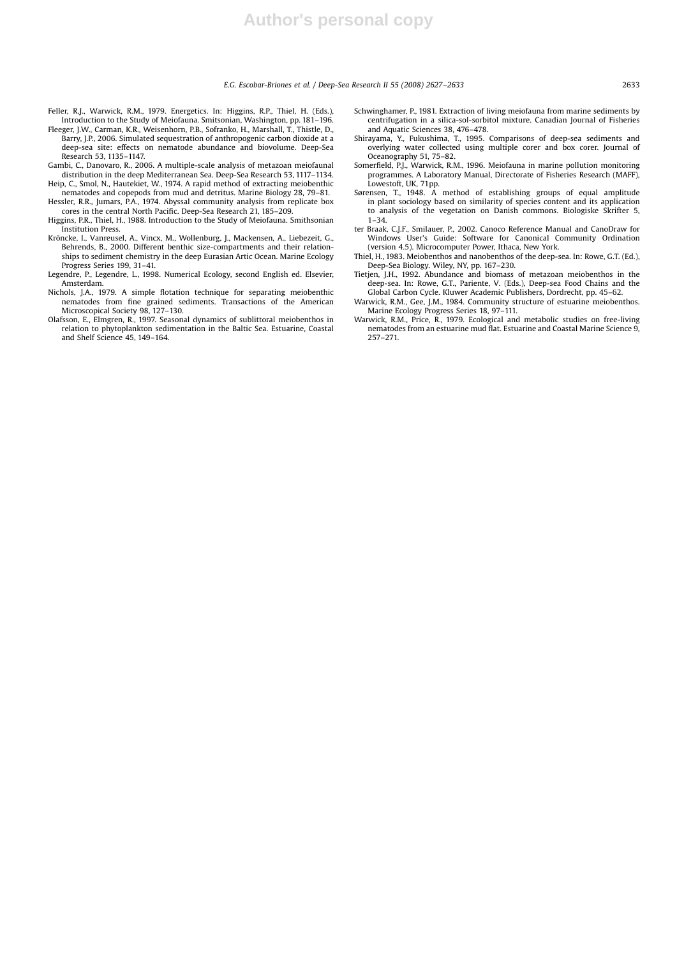E.G. Escobar-Briones et al. / Deep-Sea Research II 55 (2008) 2627–2633 2633

- Feller, R.J., Warwick, R.M., 1979. Energetics. In: Higgins, R.P., Thiel, H. (Eds.), Introduction to the Study of Meiofauna. Smitsonian, Washington, pp. 181–196.
- Fleeger, J.W., Carman, K.R., Weisenhorn, P.B., Sofranko, H., Marshall, T., Thistle, D., Barry, J.P., 2006. Simulated sequestration of anthropogenic carbon dioxide at a deep-sea site: effects on nematode abundance and biovolume. Deep-Sea Research 53, 1135–1147.
- Gambi, C., Danovaro, R., 2006. A multiple-scale analysis of metazoan meiofaunal distribution in the deep Mediterranean Sea. Deep-Sea Research 53, 1117–1134.
- Heip, C., Smol, N., Hautekiet, W., 1974. A rapid method of extracting meiobenthic nematodes and copepods from mud and detritus. Marine Biology 28, 79–81. Hessler, R.R., Jumars, P.A., 1974. Abyssal community analysis from replicate box
- cores in the central North Pacific. Deep-Sea Research 21, 185–209.
- Higgins, P.R., Thiel, H., 1988. Introduction to the Study of Meiofauna. Smithsonian Institution Press.
- Kröncke, I., Vanreusel, A., Vincx, M., Wollenburg, J., Mackensen, A., Liebezeit, G., Behrends, B., 2000. Different benthic size-compartments and their relationships to sediment chemistry in the deep Eurasian Artic Ocean. Marine Ecology Progress Series 199, 31-41.
- Legendre, P., Legendre, L., 1998. Numerical Ecology, second English ed. Elsevier, Amsterdam.
- Nichols, J.A., 1979. A simple flotation technique for separating meiobenthic nematodes from fine grained sediments. Transactions of the American Microscopical Society 98, 127–130.
- Olafsson, E., Elmgren, R., 1997. Seasonal dynamics of sublittoral meiobenthos in relation to phytoplankton sedimentation in the Baltic Sea. Estuarine, Coastal and Shelf Science 45, 149–164.
- Schwinghamer, P., 1981. Extraction of living meiofauna from marine sediments by centrifugation in a silica-sol-sorbitol mixture. Canadian Journal of Fisheries and Aquatic Sciences 38, 476–478.
- Shirayama, Y., Fukushima, T., 1995. Comparisons of deep-sea sediments and overlying water collected using multiple corer and box corer. Journal of Oceanography 51, 75–82.
- Somerfield, P.J., Warwick, R.M., 1996. Meiofauna in marine pollution monitoring programmes. A Laboratory Manual, Directorate of Fisheries Research (MAFF), Lowestoft, UK, 71pp.
- Sørensen, T., 1948. A method of establishing groups of equal amplitude in plant sociology based on similarity of species content and its application to analysis of the vegetation on Danish commons. Biologiske Skrifter 5,  $1-34.$
- ter Braak, C.J.F., Smilauer, P., 2002. Canoco Reference Manual and CanoDraw for Windows User's Guide: Software for Canonical Community Ordination (version 4.5). Microcomputer Power, Ithaca, New York.
- Thiel, H., 1983. Meiobenthos and nanobenthos of the deep-sea. In: Rowe, G.T. (Ed.), Deep-Sea Biology. Wiley, NY, pp. 167–230.
- Tietjen, J.H., 1992. Abundance and biomass of metazoan meiobenthos in the deep-sea. In: Rowe, G.T., Pariente, V. (Eds.), Deep-sea Food Chains and the Global Carbon Cycle. Kluwer Academic Publishers, Dordrecht, pp. 45–62.
- Warwick, R.M., Gee, J.M., 1984. Community structure of estuarine meiobenthos. Marine Ecology Progress Series 18, 97–111.
- Warwick, R.M., Price, R., 1979. Ecological and metabolic studies on free-living nematodes from an estuarine mud flat. Estuarine and Coastal Marine Science 9, 257–271.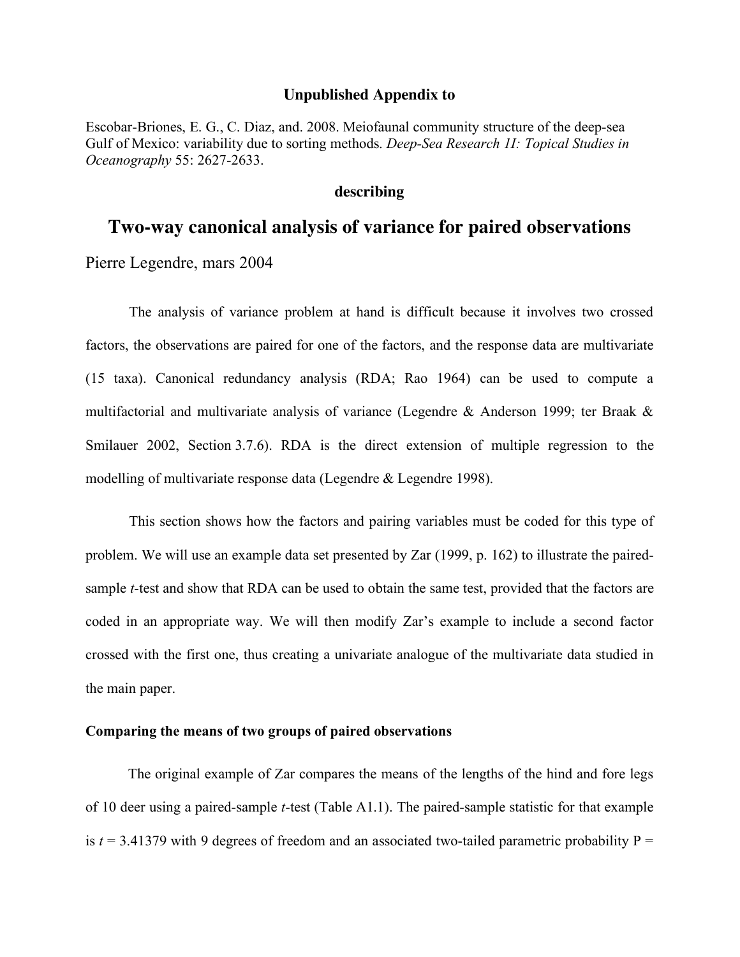## **Unpublished Appendix to**

Escobar-Briones, E. G., C. Diaz, and. 2008. Meiofaunal community structure of the deep-sea Gulf of Mexico: variability due to sorting methods. *Deep-Sea Research 1I: Topical Studies in Oceanography* 55: 2627-2633.

# **describing**

# **Two-way canonical analysis of variance for paired observations**

Pierre Legendre, mars 2004

The analysis of variance problem at hand is difficult because it involves two crossed factors, the observations are paired for one of the factors, and the response data are multivariate (15 taxa). Canonical redundancy analysis (RDA; Rao 1964) can be used to compute a multifactorial and multivariate analysis of variance (Legendre & Anderson 1999; ter Braak & Smilauer 2002, Section 3.7.6). RDA is the direct extension of multiple regression to the modelling of multivariate response data (Legendre & Legendre 1998).

This section shows how the factors and pairing variables must be coded for this type of problem. We will use an example data set presented by Zar (1999, p. 162) to illustrate the pairedsample *t*-test and show that RDA can be used to obtain the same test, provided that the factors are coded in an appropriate way. We will then modify Zar's example to include a second factor crossed with the first one, thus creating a univariate analogue of the multivariate data studied in the main paper.

## **Comparing the means of two groups of paired observations**

The original example of Zar compares the means of the lengths of the hind and fore legs of 10 deer using a paired-sample *t*-test (Table A1.1). The paired-sample statistic for that example is  $t = 3.41379$  with 9 degrees of freedom and an associated two-tailed parametric probability  $P =$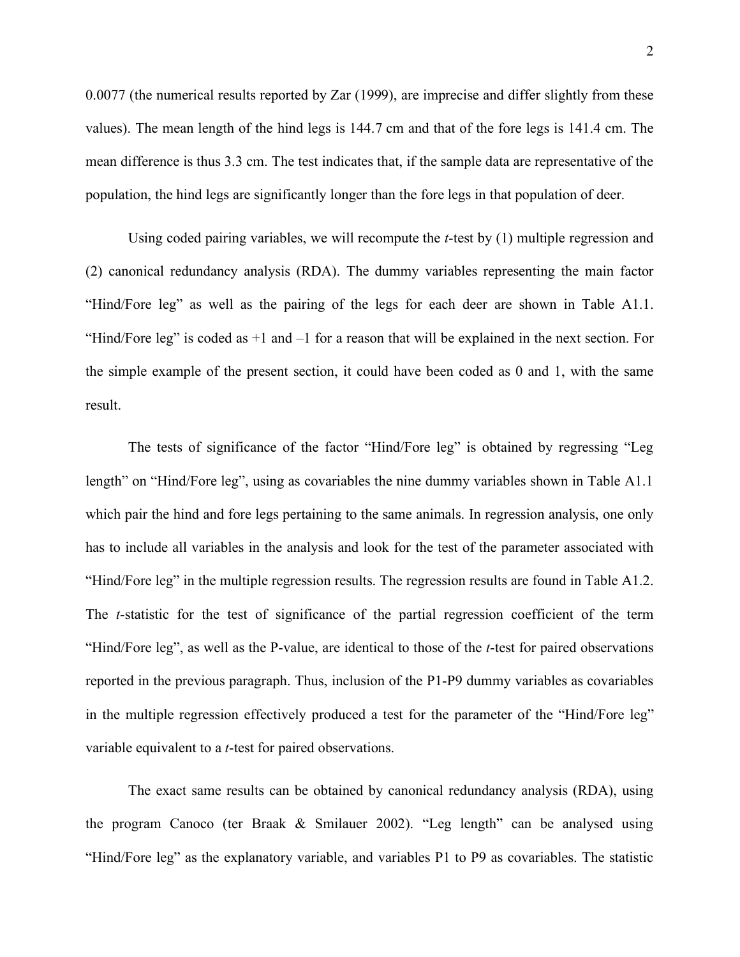0.0077 (the numerical results reported by Zar (1999), are imprecise and differ slightly from these values). The mean length of the hind legs is 144.7 cm and that of the fore legs is 141.4 cm. The mean difference is thus 3.3 cm. The test indicates that, if the sample data are representative of the population, the hind legs are significantly longer than the fore legs in that population of deer.

Using coded pairing variables, we will recompute the *t*-test by (1) multiple regression and (2) canonical redundancy analysis (RDA). The dummy variables representing the main factor "Hind/Fore leg" as well as the pairing of the legs for each deer are shown in Table A1.1. "Hind/Fore leg" is coded as  $+1$  and  $-1$  for a reason that will be explained in the next section. For the simple example of the present section, it could have been coded as 0 and 1, with the same result.

The tests of significance of the factor "Hind/Fore leg" is obtained by regressing "Leg length" on "Hind/Fore leg", using as covariables the nine dummy variables shown in Table A1.1 which pair the hind and fore legs pertaining to the same animals. In regression analysis, one only has to include all variables in the analysis and look for the test of the parameter associated with "Hind/Fore leg" in the multiple regression results. The regression results are found in Table A1.2. The *t*-statistic for the test of significance of the partial regression coefficient of the term "Hind/Fore leg", as well as the P-value, are identical to those of the *t*-test for paired observations reported in the previous paragraph. Thus, inclusion of the P1-P9 dummy variables as covariables in the multiple regression effectively produced a test for the parameter of the "Hind/Fore leg" variable equivalent to a *t*-test for paired observations.

The exact same results can be obtained by canonical redundancy analysis (RDA), using the program Canoco (ter Braak & Smilauer 2002). "Leg length" can be analysed using "Hind/Fore leg" as the explanatory variable, and variables P1 to P9 as covariables. The statistic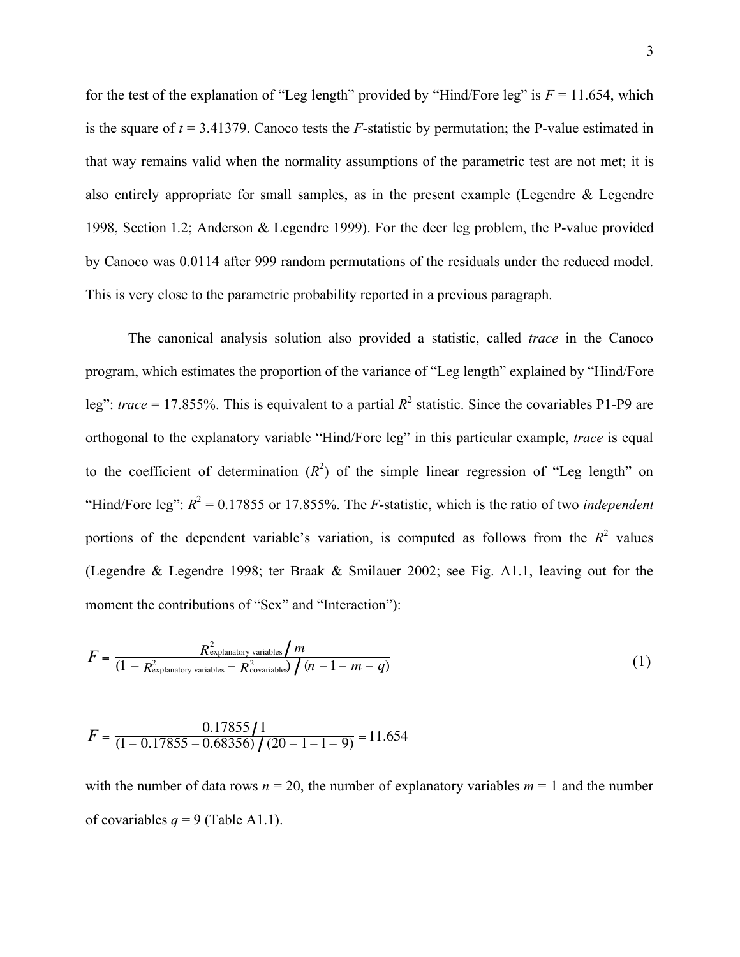for the test of the explanation of "Leg length" provided by "Hind/Fore leg" is  $F = 11.654$ , which is the square of  $t = 3.41379$ . Canoco tests the *F*-statistic by permutation; the P-value estimated in that way remains valid when the normality assumptions of the parametric test are not met; it is also entirely appropriate for small samples, as in the present example (Legendre & Legendre 1998, Section 1.2; Anderson & Legendre 1999). For the deer leg problem, the P-value provided by Canoco was 0.0114 after 999 random permutations of the residuals under the reduced model. This is very close to the parametric probability reported in a previous paragraph.

The canonical analysis solution also provided a statistic, called *trace* in the Canoco program, which estimates the proportion of the variance of "Leg length" explained by "Hind/Fore leg": *trace* = 17.855%. This is equivalent to a partial  $R^2$  statistic. Since the covariables P1-P9 are orthogonal to the explanatory variable "Hind/Fore leg" in this particular example, *trace* is equal to the coefficient of determination  $(R^2)$  of the simple linear regression of "Leg length" on "Hind/Fore leg":  $R^2 = 0.17855$  or 17.855%. The *F*-statistic, which is the ratio of two *independent* portions of the dependent variable's variation, is computed as follows from the  $R^2$  values (Legendre & Legendre 1998; ter Braak & Smilauer 2002; see Fig. A1.1, leaving out for the moment the contributions of "Sex" and "Interaction"):

$$
F = \frac{R_{\text{explanatory variables}}^2 / m}{(1 - R_{\text{explanatory variables}}^2 - R_{\text{covariables}}^2) / (n - 1 - m - q)}
$$
(1)

$$
F = \frac{0.17855 \, \text{J}}{(1 - 0.17855 - 0.68356) \, \text{J} \, (20 - 1 - 1 - 9)} = 11.654
$$

with the number of data rows  $n = 20$ , the number of explanatory variables  $m = 1$  and the number of covariables  $q = 9$  (Table A1.1).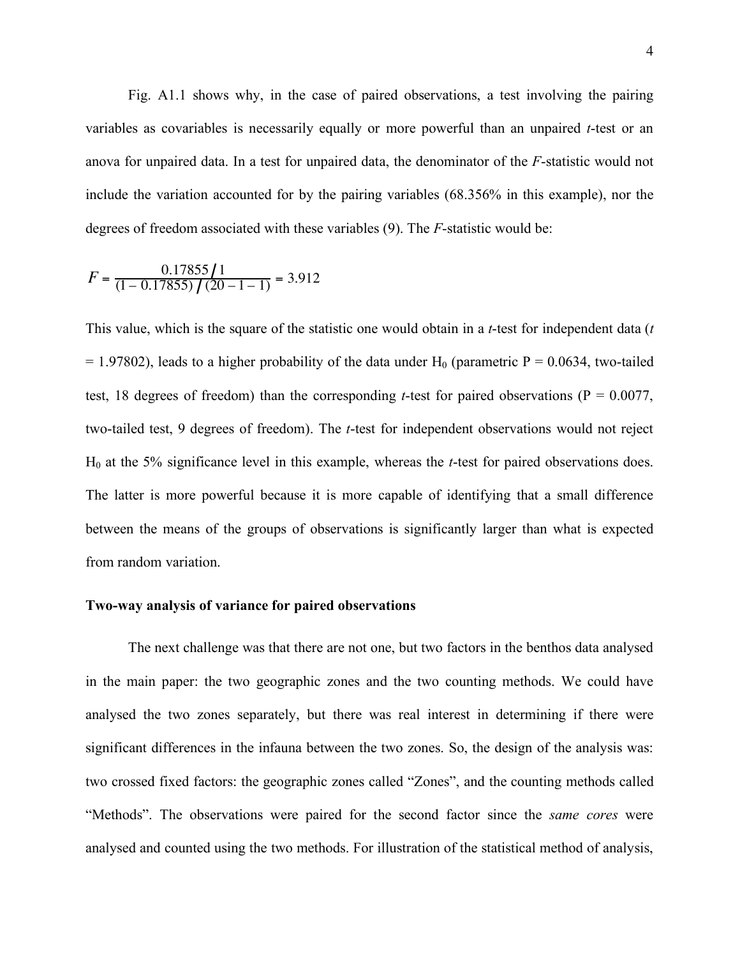Fig. A1.1 shows why, in the case of paired observations, a test involving the pairing variables as covariables is necessarily equally or more powerful than an unpaired *t*-test or an anova for unpaired data. In a test for unpaired data, the denominator of the *F*-statistic would not include the variation accounted for by the pairing variables (68.356% in this example), nor the degrees of freedom associated with these variables (9). The *F*-statistic would be:

$$
F = \frac{0.17855}{(1 - 0.17855)} / (20 - 1 - 1) = 3.912
$$

This value, which is the square of the statistic one would obtain in a *t*-test for independent data (*t*  $= 1.97802$ ), leads to a higher probability of the data under H<sub>0</sub> (parametric P = 0.0634, two-tailed test, 18 degrees of freedom) than the corresponding *t*-test for paired observations ( $P = 0.0077$ , two-tailed test, 9 degrees of freedom). The *t*-test for independent observations would not reject H0 at the 5% significance level in this example, whereas the *t*-test for paired observations does. The latter is more powerful because it is more capable of identifying that a small difference between the means of the groups of observations is significantly larger than what is expected from random variation.

# **Two-way analysis of variance for paired observations**

The next challenge was that there are not one, but two factors in the benthos data analysed in the main paper: the two geographic zones and the two counting methods. We could have analysed the two zones separately, but there was real interest in determining if there were significant differences in the infauna between the two zones. So, the design of the analysis was: two crossed fixed factors: the geographic zones called "Zones", and the counting methods called "Methods". The observations were paired for the second factor since the *same cores* were analysed and counted using the two methods. For illustration of the statistical method of analysis,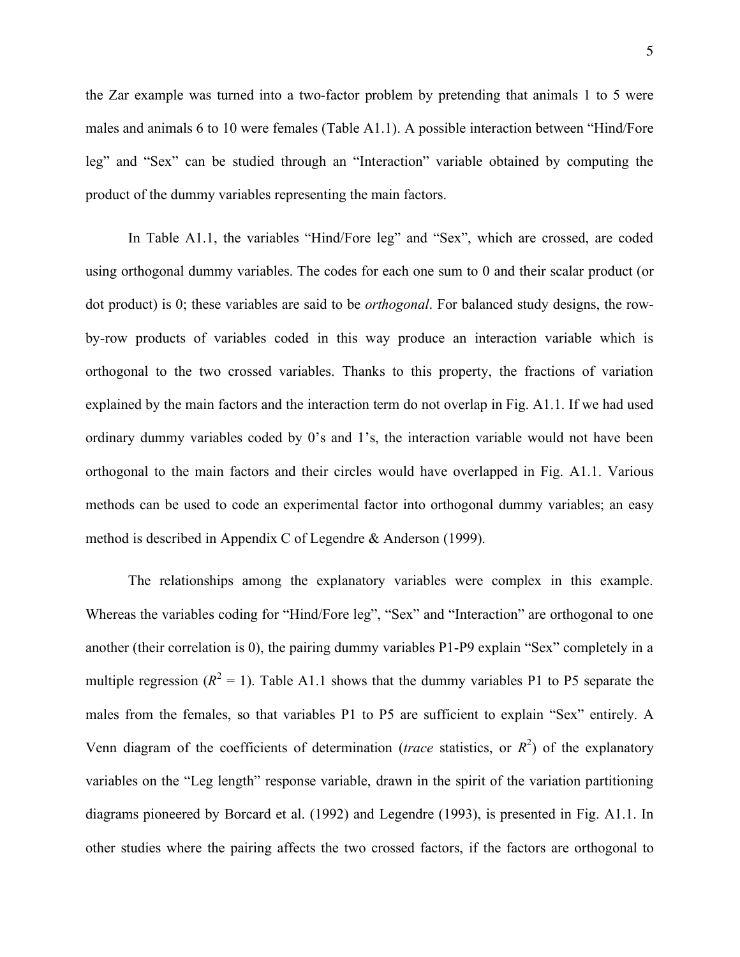the Zar example was turned into a two-factor problem by pretending that animals 1 to 5 were males and animals 6 to 10 were females (Table A1.1). A possible interaction between "Hind/Fore leg" and "Sex" can be studied through an "Interaction" variable obtained by computing the product of the dummy variables representing the main factors.

In Table A1.1, the variables "Hind/Fore leg" and "Sex", which are crossed, are coded using orthogonal dummy variables. The codes for each one sum to 0 and their scalar product (or dot product) is 0; these variables are said to be *orthogonal*. For balanced study designs, the rowby-row products of variables coded in this way produce an interaction variable which is orthogonal to the two crossed variables. Thanks to this property, the fractions of variation explained by the main factors and the interaction term do not overlap in Fig. A1.1. If we had used ordinary dummy variables coded by 0's and 1's, the interaction variable would not have been orthogonal to the main factors and their circles would have overlapped in Fig. A1.1. Various methods can be used to code an experimental factor into orthogonal dummy variables; an easy method is described in Appendix C of Legendre & Anderson (1999).

The relationships among the explanatory variables were complex in this example. Whereas the variables coding for "Hind/Fore leg", "Sex" and "Interaction" are orthogonal to one another (their correlation is 0), the pairing dummy variables P1-P9 explain "Sex" completely in a multiple regression  $(R^2 = 1)$ . Table A1.1 shows that the dummy variables P1 to P5 separate the males from the females, so that variables P1 to P5 are sufficient to explain "Sex" entirely. A Venn diagram of the coefficients of determination (*trace* statistics, or  $R^2$ ) of the explanatory variables on the "Leg length" response variable, drawn in the spirit of the variation partitioning diagrams pioneered by Borcard et al. (1992) and Legendre (1993), is presented in Fig. A1.1. In other studies where the pairing affects the two crossed factors, if the factors are orthogonal to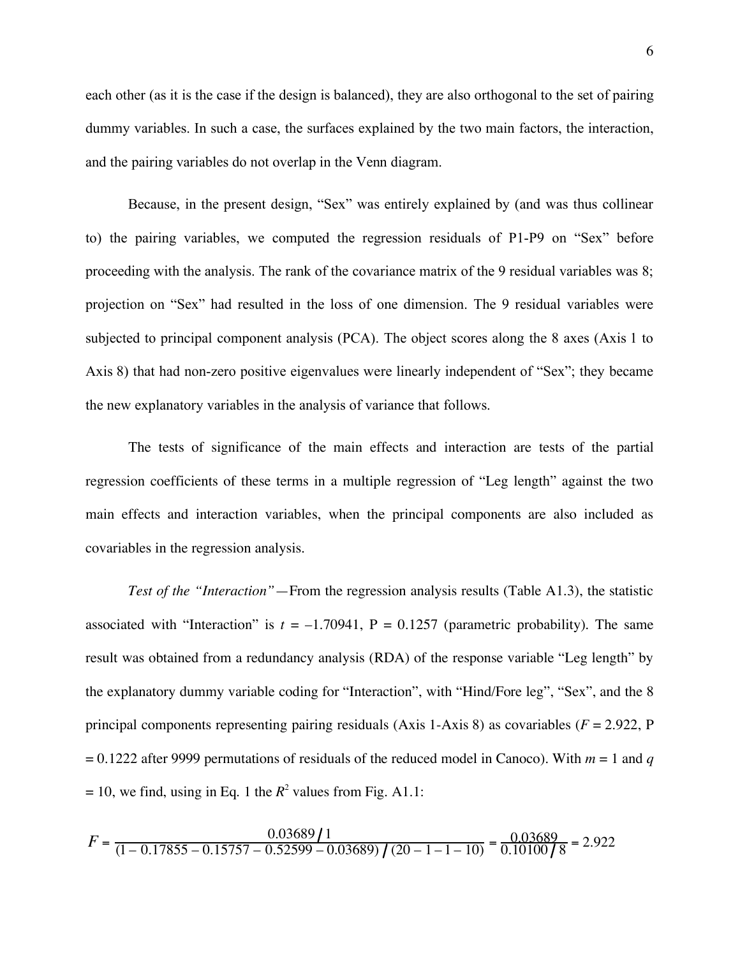each other (as it is the case if the design is balanced), they are also orthogonal to the set of pairing dummy variables. In such a case, the surfaces explained by the two main factors, the interaction, and the pairing variables do not overlap in the Venn diagram.

Because, in the present design, "Sex" was entirely explained by (and was thus collinear to) the pairing variables, we computed the regression residuals of P1-P9 on "Sex" before proceeding with the analysis. The rank of the covariance matrix of the 9 residual variables was 8; projection on "Sex" had resulted in the loss of one dimension. The 9 residual variables were subjected to principal component analysis (PCA). The object scores along the 8 axes (Axis 1 to Axis 8) that had non-zero positive eigenvalues were linearly independent of "Sex"; they became the new explanatory variables in the analysis of variance that follows.

The tests of significance of the main effects and interaction are tests of the partial regression coefficients of these terms in a multiple regression of "Leg length" against the two main effects and interaction variables, when the principal components are also included as covariables in the regression analysis.

*Test of the "Interaction"*—From the regression analysis results (Table A1.3), the statistic associated with "Interaction" is  $t = -1.70941$ ,  $P = 0.1257$  (parametric probability). The same result was obtained from a redundancy analysis (RDA) of the response variable "Leg length" by the explanatory dummy variable coding for "Interaction", with "Hind/Fore leg", "Sex", and the 8 principal components representing pairing residuals (Axis 1-Axis 8) as covariables ( $F = 2.922$ , P  $= 0.1222$  after 9999 permutations of residuals of the reduced model in Canoco). With  $m = 1$  and *q*  $= 10$ , we find, using in Eq. 1 the  $R^2$  values from Fig. A1.1:

$$
F = \frac{0.03689}{(1 - 0.17855 - 0.15757 - 0.52599 - 0.03689) / (20 - 1 - 1 - 10)} = \frac{0.03689}{0.10100 / 8} = 2.922
$$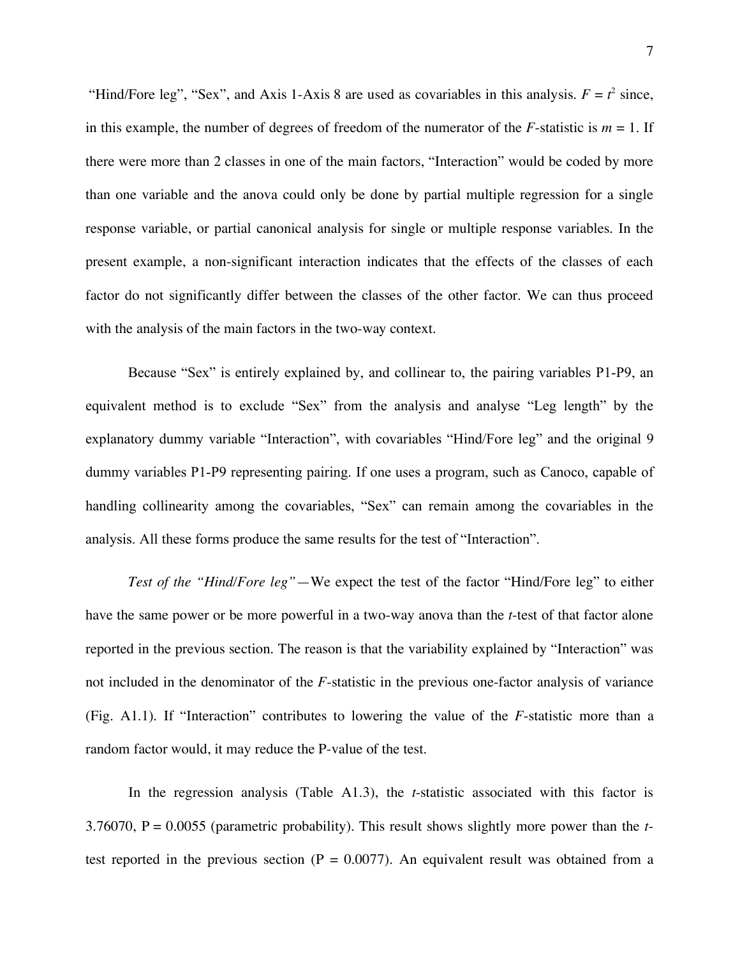"Hind/Fore leg", "Sex", and Axis 1-Axis 8 are used as covariables in this analysis.  $F = t^2$  since, in this example, the number of degrees of freedom of the numerator of the  $F$ -statistic is  $m = 1$ . If there were more than 2 classes in one of the main factors, "Interaction" would be coded by more than one variable and the anova could only be done by partial multiple regression for a single response variable, or partial canonical analysis for single or multiple response variables. In the present example, a non-significant interaction indicates that the effects of the classes of each factor do not significantly differ between the classes of the other factor. We can thus proceed with the analysis of the main factors in the two-way context.

Because "Sex" is entirely explained by, and collinear to, the pairing variables P1-P9, an equivalent method is to exclude "Sex" from the analysis and analyse "Leg length" by the explanatory dummy variable "Interaction", with covariables "Hind/Fore leg" and the original 9 dummy variables P1-P9 representing pairing. If one uses a program, such as Canoco, capable of handling collinearity among the covariables, "Sex" can remain among the covariables in the analysis. All these forms produce the same results for the test of "Interaction".

*Test of the "Hind/Fore leg"*—We expect the test of the factor "Hind/Fore leg" to either have the same power or be more powerful in a two-way anova than the *t*-test of that factor alone reported in the previous section. The reason is that the variability explained by "Interaction" was not included in the denominator of the *F*-statistic in the previous one-factor analysis of variance (Fig. A1.1). If "Interaction" contributes to lowering the value of the *F*-statistic more than a random factor would, it may reduce the P-value of the test.

In the regression analysis (Table A1.3), the *t*-statistic associated with this factor is 3.76070, P = 0.0055 (parametric probability). This result shows slightly more power than the *t*test reported in the previous section ( $P = 0.0077$ ). An equivalent result was obtained from a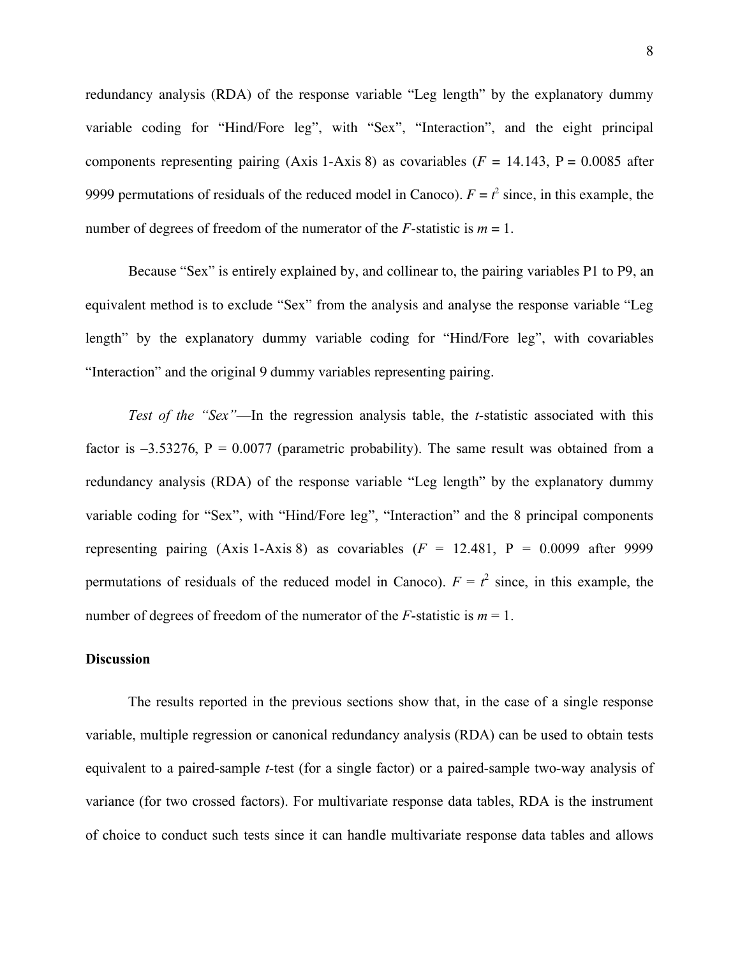redundancy analysis (RDA) of the response variable "Leg length" by the explanatory dummy variable coding for "Hind/Fore leg", with "Sex", "Interaction", and the eight principal components representing pairing (Axis 1-Axis 8) as covariables ( $F = 14.143$ ,  $P = 0.0085$  after 9999 permutations of residuals of the reduced model in Canoco).  $F = t^2$  since, in this example, the number of degrees of freedom of the numerator of the *F*-statistic is  $m = 1$ .

Because "Sex" is entirely explained by, and collinear to, the pairing variables P1 to P9, an equivalent method is to exclude "Sex" from the analysis and analyse the response variable "Leg length" by the explanatory dummy variable coding for "Hind/Fore leg", with covariables "Interaction" and the original 9 dummy variables representing pairing.

*Test of the "Sex"*—In the regression analysis table, the *t*-statistic associated with this factor is  $-3.53276$ ,  $P = 0.0077$  (parametric probability). The same result was obtained from a redundancy analysis (RDA) of the response variable "Leg length" by the explanatory dummy variable coding for "Sex", with "Hind/Fore leg", "Interaction" and the 8 principal components representing pairing (Axis 1-Axis 8) as covariables  $(F = 12.481, P = 0.0099$  after 9999 permutations of residuals of the reduced model in Canoco).  $F = t^2$  since, in this example, the number of degrees of freedom of the numerator of the *F*-statistic is  $m = 1$ .

# **Discussion**

The results reported in the previous sections show that, in the case of a single response variable, multiple regression or canonical redundancy analysis (RDA) can be used to obtain tests equivalent to a paired-sample *t*-test (for a single factor) or a paired-sample two-way analysis of variance (for two crossed factors). For multivariate response data tables, RDA is the instrument of choice to conduct such tests since it can handle multivariate response data tables and allows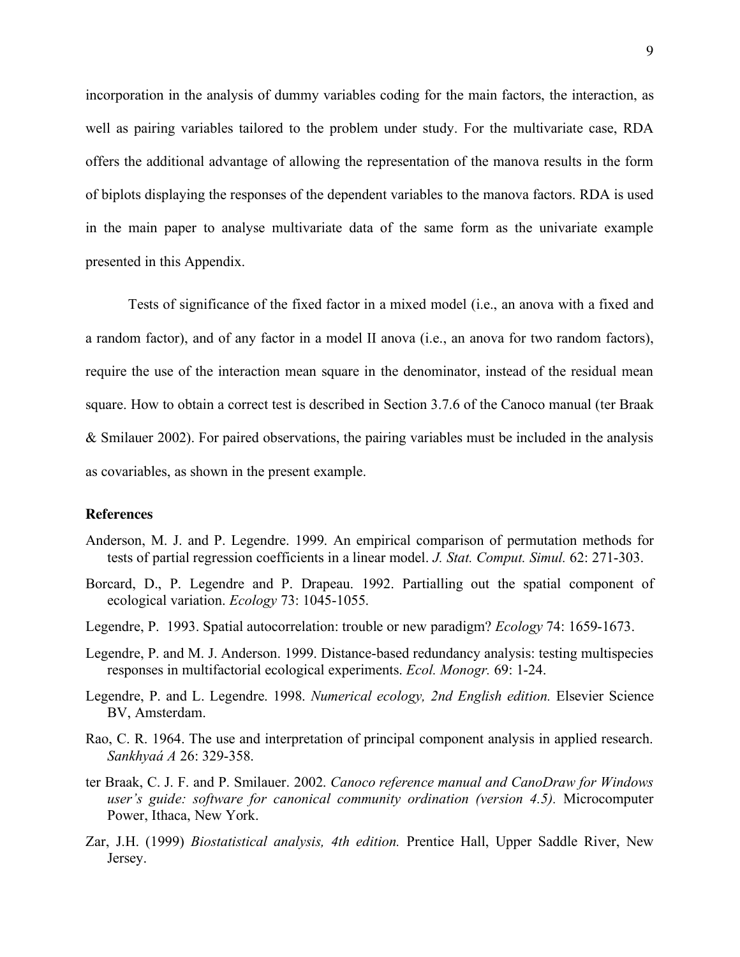incorporation in the analysis of dummy variables coding for the main factors, the interaction, as well as pairing variables tailored to the problem under study. For the multivariate case, RDA offers the additional advantage of allowing the representation of the manova results in the form of biplots displaying the responses of the dependent variables to the manova factors. RDA is used in the main paper to analyse multivariate data of the same form as the univariate example presented in this Appendix.

Tests of significance of the fixed factor in a mixed model (i.e., an anova with a fixed and a random factor), and of any factor in a model II anova (i.e., an anova for two random factors), require the use of the interaction mean square in the denominator, instead of the residual mean square. How to obtain a correct test is described in Section 3.7.6 of the Canoco manual (ter Braak & Smilauer 2002). For paired observations, the pairing variables must be included in the analysis as covariables, as shown in the present example.

### **References**

- Anderson, M. J. and P. Legendre. 1999. An empirical comparison of permutation methods for tests of partial regression coefficients in a linear model. *J. Stat. Comput. Simul.* 62: 271-303.
- Borcard, D., P. Legendre and P. Drapeau. 1992. Partialling out the spatial component of ecological variation. *Ecology* 73: 1045-1055.
- Legendre, P. 1993. Spatial autocorrelation: trouble or new paradigm? *Ecology* 74: 1659-1673.
- Legendre, P. and M. J. Anderson. 1999. Distance-based redundancy analysis: testing multispecies responses in multifactorial ecological experiments. *Ecol. Monogr.* 69: 1-24.
- Legendre, P. and L. Legendre. 1998. *Numerical ecology, 2nd English edition.* Elsevier Science BV, Amsterdam.
- Rao, C. R. 1964. The use and interpretation of principal component analysis in applied research. *Sankhyaá A* 26: 329-358.
- ter Braak, C. J. F. and P. Smilauer. 2002. *Canoco reference manual and CanoDraw for Windows user's guide: software for canonical community ordination (version 4.5).* Microcomputer Power, Ithaca, New York.
- Zar, J.H. (1999) *Biostatistical analysis, 4th edition.* Prentice Hall, Upper Saddle River, New Jersey.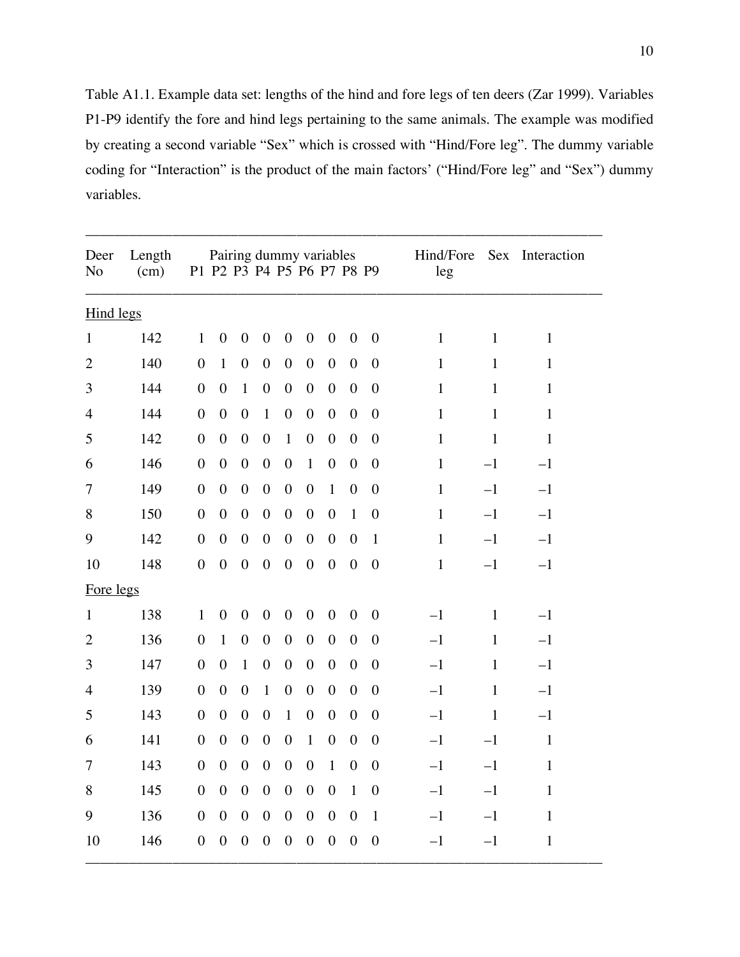Table A1.1. Example data set: lengths of the hind and fore legs of ten deers (Zar 1999). Variables P1-P9 identify the fore and hind legs pertaining to the same animals. The example was modified by creating a second variable "Sex" which is crossed with "Hind/Fore leg". The dummy variable coding for "Interaction" is the product of the main factors' ("Hind/Fore leg" and "Sex") dummy variables.

\_\_\_\_\_\_\_\_\_\_\_\_\_\_\_\_\_\_\_\_\_\_\_\_\_\_\_\_\_\_\_\_\_\_\_\_\_\_\_\_\_\_\_\_\_\_\_\_\_\_\_\_\_\_\_\_\_\_\_\_\_\_\_\_\_\_\_\_\_\_\_

| Deer<br>N <sub>o</sub> | Length<br>(cm) |                  |                  | Pairing dummy variables<br>P1 P2 P3 P4 P5 P6 P7 P8 P9 |                  |                  |                  |                  |                  |                  | Hind/Fore<br>leg |              | Sex Interaction |
|------------------------|----------------|------------------|------------------|-------------------------------------------------------|------------------|------------------|------------------|------------------|------------------|------------------|------------------|--------------|-----------------|
| <b>Hind legs</b>       |                |                  |                  |                                                       |                  |                  |                  |                  |                  |                  |                  |              |                 |
| $\mathbf{1}$           | 142            | $\mathbf{1}$     | $\overline{0}$   | $\boldsymbol{0}$                                      | $\boldsymbol{0}$ | $\boldsymbol{0}$ | $\boldsymbol{0}$ | $\boldsymbol{0}$ | $\boldsymbol{0}$ | $\overline{0}$   | $\mathbf{1}$     | $\mathbf{1}$ | $\mathbf{1}$    |
| $\overline{2}$         | 140            | $\boldsymbol{0}$ | $\mathbf{1}$     | $\boldsymbol{0}$                                      | $\boldsymbol{0}$ | $\boldsymbol{0}$ | $\boldsymbol{0}$ | $\boldsymbol{0}$ | $\boldsymbol{0}$ | $\boldsymbol{0}$ | $\mathbf{1}$     | $\mathbf{1}$ | $\mathbf{1}$    |
| 3                      | 144            | $\boldsymbol{0}$ | $\boldsymbol{0}$ | $\mathbf{1}$                                          | $\boldsymbol{0}$ | $\boldsymbol{0}$ | $\boldsymbol{0}$ | $\boldsymbol{0}$ | $\boldsymbol{0}$ | $\overline{0}$   | $\mathbf{1}$     | $\mathbf{1}$ | $\mathbf{1}$    |
| $\overline{4}$         | 144            | $\boldsymbol{0}$ | $\boldsymbol{0}$ | $\boldsymbol{0}$                                      | $\mathbf{1}$     | $\boldsymbol{0}$ | $\boldsymbol{0}$ | $\boldsymbol{0}$ | $\boldsymbol{0}$ | $\boldsymbol{0}$ | $\mathbf{1}$     | $\mathbf{1}$ | $\mathbf{1}$    |
| 5                      | 142            | $\boldsymbol{0}$ | $\boldsymbol{0}$ | $\boldsymbol{0}$                                      | $\boldsymbol{0}$ | $\mathbf{1}$     | $\boldsymbol{0}$ | $\boldsymbol{0}$ | $\boldsymbol{0}$ | $\boldsymbol{0}$ | $\mathbf{1}$     | $\mathbf{1}$ | $\mathbf{1}$    |
| 6                      | 146            | $\overline{0}$   | $\overline{0}$   | $\overline{0}$                                        | $\boldsymbol{0}$ | $\boldsymbol{0}$ | $\mathbf{1}$     | $\boldsymbol{0}$ | $\overline{0}$   | $\overline{0}$   | $\mathbf{1}$     | $-1$         | $-1$            |
| 7                      | 149            | $\boldsymbol{0}$ | $\boldsymbol{0}$ | $\boldsymbol{0}$                                      | $\boldsymbol{0}$ | $\boldsymbol{0}$ | $\boldsymbol{0}$ | $\mathbf{1}$     | $\boldsymbol{0}$ | $\boldsymbol{0}$ | $\mathbf{1}$     | $-1$         | $-1$            |
| 8                      | 150            | $\overline{0}$   | $\overline{0}$   | $\boldsymbol{0}$                                      | $\boldsymbol{0}$ | $\boldsymbol{0}$ | $\boldsymbol{0}$ | $\boldsymbol{0}$ | $\mathbf{1}$     | $\boldsymbol{0}$ | $\mathbf{1}$     | $-1$         | $-1$            |
| 9                      | 142            | $\boldsymbol{0}$ | $\boldsymbol{0}$ | $\boldsymbol{0}$                                      | $\boldsymbol{0}$ | $\boldsymbol{0}$ | $\boldsymbol{0}$ | $\boldsymbol{0}$ | $\boldsymbol{0}$ | $\mathbf{1}$     | $\mathbf{1}$     | $-1$         | $-1$            |
| 10                     | 148            | $\overline{0}$   | $\overline{0}$   | $\boldsymbol{0}$                                      | $\boldsymbol{0}$ | $\overline{0}$   | $\overline{0}$   | $\overline{0}$   | $\overline{0}$   | $\boldsymbol{0}$ | $\mathbf{1}$     | $-1$         | $-1$            |
| Fore legs              |                |                  |                  |                                                       |                  |                  |                  |                  |                  |                  |                  |              |                 |
| $\mathbf{1}$           | 138            | $\mathbf{1}$     | $\boldsymbol{0}$ | $\boldsymbol{0}$                                      | $\mathbf{0}$     | $\boldsymbol{0}$ | $\boldsymbol{0}$ | $\boldsymbol{0}$ | $\boldsymbol{0}$ | $\boldsymbol{0}$ | $-1$             | $\mathbf{1}$ | $-1$            |
| $\overline{2}$         | 136            | $\boldsymbol{0}$ | $\mathbf{1}$     | $\boldsymbol{0}$                                      | $\boldsymbol{0}$ | $\boldsymbol{0}$ | $\boldsymbol{0}$ | $\boldsymbol{0}$ | $\boldsymbol{0}$ | $\overline{0}$   | $-1$             | $\mathbf{1}$ | $-1$            |
| 3                      | 147            | $\boldsymbol{0}$ | $\boldsymbol{0}$ | $\mathbf{1}$                                          | $\boldsymbol{0}$ | $\boldsymbol{0}$ | $\boldsymbol{0}$ | $\boldsymbol{0}$ | $\boldsymbol{0}$ | $\boldsymbol{0}$ | $-1$             | $\mathbf{1}$ | $-1$            |
| $\overline{4}$         | 139            | $\boldsymbol{0}$ | $\boldsymbol{0}$ | $\boldsymbol{0}$                                      | $\mathbf{1}$     | $\boldsymbol{0}$ | $\boldsymbol{0}$ | $\boldsymbol{0}$ | $\boldsymbol{0}$ | $\boldsymbol{0}$ | $-1$             | $\mathbf{1}$ | $-1$            |
| 5                      | 143            | $\overline{0}$   | $\overline{0}$   | $\overline{0}$                                        | $\overline{0}$   | $\mathbf{1}$     | $\overline{0}$   | $\overline{0}$   | $\overline{0}$   | $\overline{0}$   | $-1$             | $\mathbf{1}$ | $-1$            |
| 6                      | 141            | $\boldsymbol{0}$ | $\boldsymbol{0}$ | $\boldsymbol{0}$                                      | $\boldsymbol{0}$ | $\boldsymbol{0}$ | $\mathbf{1}$     | $\boldsymbol{0}$ | $\boldsymbol{0}$ | $\boldsymbol{0}$ | $-1$             | $-1$         | $\mathbf{1}$    |
| 7                      | 143            | $\overline{0}$   | $\overline{0}$   | $\overline{0}$                                        | $\boldsymbol{0}$ | $\boldsymbol{0}$ | $\boldsymbol{0}$ | $\mathbf{1}$     | $\overline{0}$   | $\overline{0}$   | $-1$             | $-1$         | $\mathbf{1}$    |
| 8                      | 145            | $\boldsymbol{0}$ | $\boldsymbol{0}$ | $\boldsymbol{0}$                                      | $\boldsymbol{0}$ | $\boldsymbol{0}$ | $\boldsymbol{0}$ | $\boldsymbol{0}$ | $\mathbf{1}$     | $\boldsymbol{0}$ | $-1$             | $-1$         | $\mathbf{1}$    |
| 9                      | 136            | $\overline{0}$   | $\boldsymbol{0}$ | $\boldsymbol{0}$                                      | $\boldsymbol{0}$ | $\boldsymbol{0}$ | $\boldsymbol{0}$ | $\boldsymbol{0}$ | $\boldsymbol{0}$ | $\mathbf{1}$     | $-1$             | $-1$         | $\mathbf{1}$    |
| 10                     | 146            | $\overline{0}$   | $\boldsymbol{0}$ | $\boldsymbol{0}$                                      | $\boldsymbol{0}$ | $\boldsymbol{0}$ | $\boldsymbol{0}$ | $\boldsymbol{0}$ | $\overline{0}$   | $\boldsymbol{0}$ | $-1$             | $-1$         | $\mathbf{1}$    |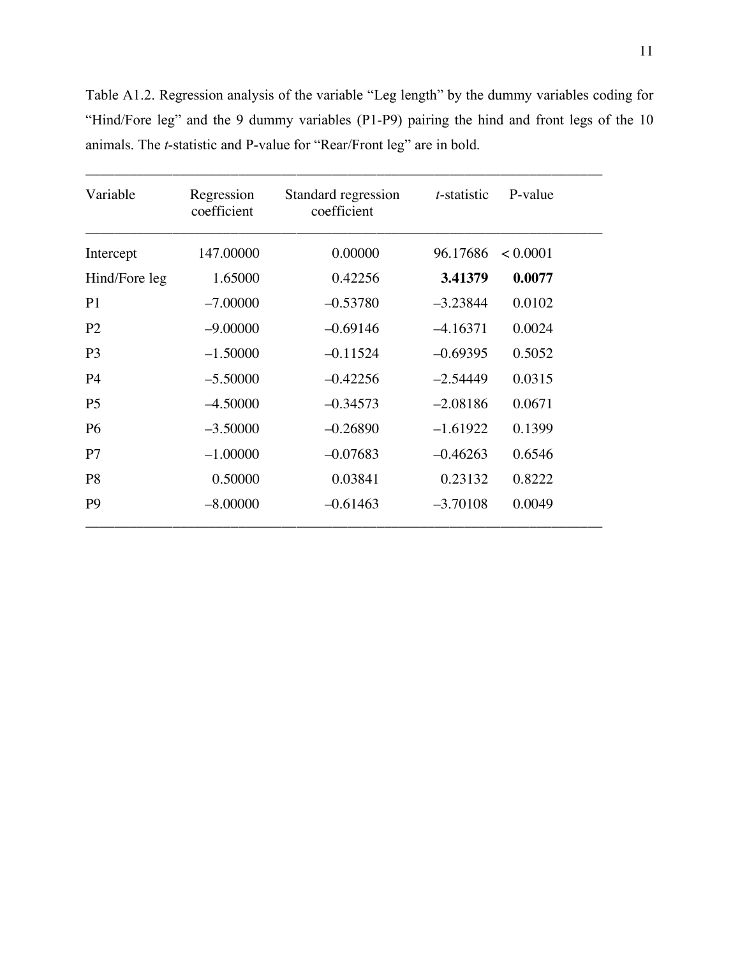Table A1.2. Regression analysis of the variable "Leg length" by the dummy variables coding for "Hind/Fore leg" and the 9 dummy variables (P1-P9) pairing the hind and front legs of the 10 animals. The *t*-statistic and P-value for "Rear/Front leg" are in bold.

\_\_\_\_\_\_\_\_\_\_\_\_\_\_\_\_\_\_\_\_\_\_\_\_\_\_\_\_\_\_\_\_\_\_\_\_\_\_\_\_\_\_\_\_\_\_\_\_\_\_\_\_\_\_\_\_\_\_\_\_\_\_\_\_\_\_\_\_\_\_\_

| Variable       | Regression<br>coefficient | Standard regression<br>coefficient | t-statistic | P-value  |  |
|----------------|---------------------------|------------------------------------|-------------|----------|--|
| Intercept      | 147.00000                 | 0.00000                            | 96.17686    | < 0.0001 |  |
| Hind/Fore leg  | 1.65000                   | 0.42256                            | 3.41379     | 0.0077   |  |
| P <sub>1</sub> | $-7.00000$                | $-0.53780$                         | $-3.23844$  | 0.0102   |  |
| P <sub>2</sub> | $-9.00000$                | $-0.69146$                         | $-4.16371$  | 0.0024   |  |
| P <sub>3</sub> | $-1.50000$                | $-0.11524$                         | $-0.69395$  | 0.5052   |  |
| <b>P4</b>      | $-5.50000$                | $-0.42256$                         | $-2.54449$  | 0.0315   |  |
| P <sub>5</sub> | $-4.50000$                | $-0.34573$                         | $-2.08186$  | 0.0671   |  |
| <b>P6</b>      | $-3.50000$                | $-0.26890$                         | $-1.61922$  | 0.1399   |  |
| P7             | $-1.00000$                | $-0.07683$                         | $-0.46263$  | 0.6546   |  |
| P <sub>8</sub> | 0.50000                   | 0.03841                            | 0.23132     | 0.8222   |  |
| P <sub>9</sub> | $-8.00000$                | $-0.61463$                         | $-3.70108$  | 0.0049   |  |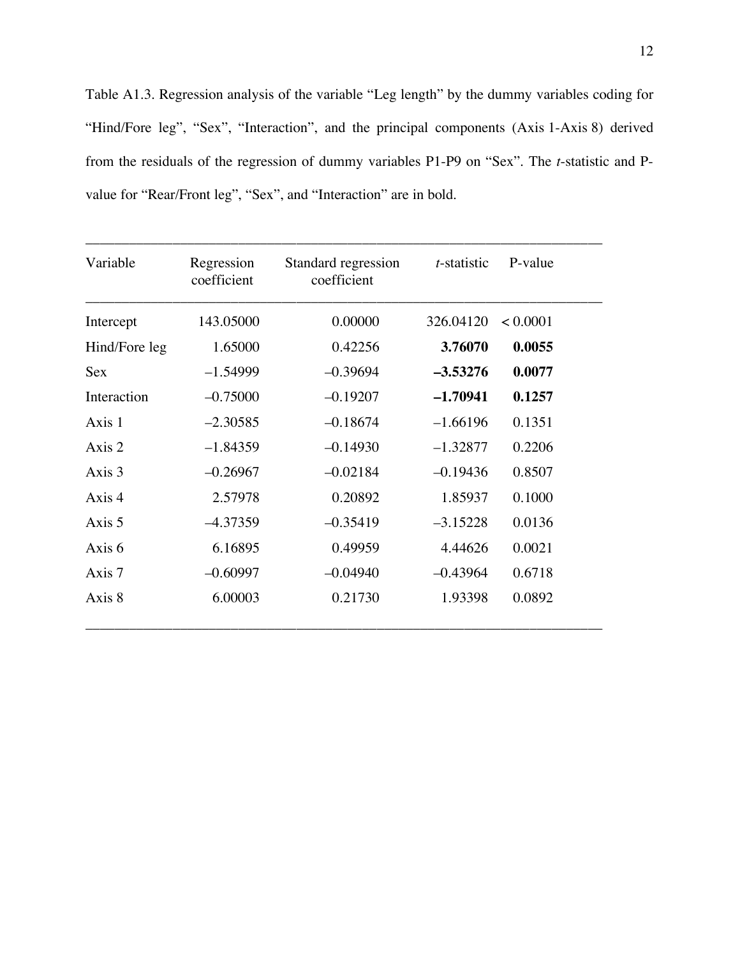Table A1.3. Regression analysis of the variable "Leg length" by the dummy variables coding for "Hind/Fore leg", "Sex", "Interaction", and the principal components (Axis 1-Axis 8) derived from the residuals of the regression of dummy variables P1-P9 on "Sex". The *t*-statistic and Pvalue for "Rear/Front leg", "Sex", and "Interaction" are in bold.

| Variable      | Regression<br>coefficient | Standard regression<br>coefficient | $t$ -statistic | P-value  |
|---------------|---------------------------|------------------------------------|----------------|----------|
| Intercept     | 143.05000                 | 0.00000                            | 326.04120      | < 0.0001 |
| Hind/Fore leg | 1.65000                   | 0.42256                            | 3.76070        | 0.0055   |
| <b>Sex</b>    | $-1.54999$                | $-0.39694$                         | $-3.53276$     | 0.0077   |
| Interaction   | $-0.75000$                | $-0.19207$                         | $-1.70941$     | 0.1257   |
| Axis 1        | $-2.30585$                | $-0.18674$                         | $-1.66196$     | 0.1351   |
| Axis 2        | $-1.84359$                | $-0.14930$                         | $-1.32877$     | 0.2206   |
| Axis 3        | $-0.26967$                | $-0.02184$                         | $-0.19436$     | 0.8507   |
| Axis 4        | 2.57978                   | 0.20892                            | 1.85937        | 0.1000   |
| Axis 5        | $-4.37359$                | $-0.35419$                         | $-3.15228$     | 0.0136   |
| Axis 6        | 6.16895                   | 0.49959                            | 4.44626        | 0.0021   |
| Axis 7        | $-0.60997$                | $-0.04940$                         | $-0.43964$     | 0.6718   |
| Axis 8        | 6.00003                   | 0.21730                            | 1.93398        | 0.0892   |